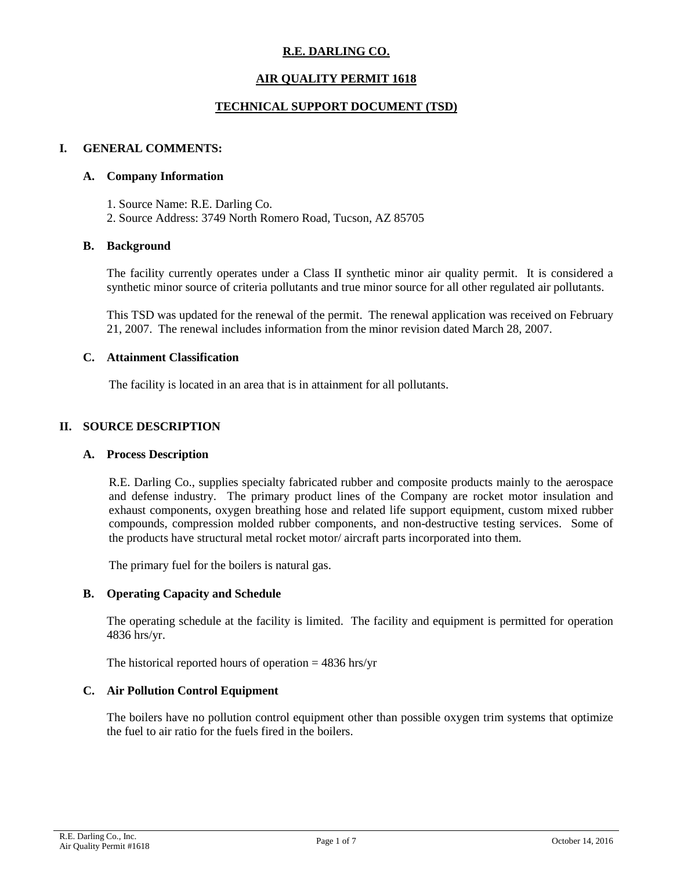# **R.E. DARLING CO.**

# **AIR QUALITY PERMIT 1618**

# **TECHNICAL SUPPORT DOCUMENT (TSD)**

# **I. GENERAL COMMENTS:**

#### **A. Company Information**

1. Source Name: R.E. Darling Co. 2. Source Address: 3749 North Romero Road, Tucson, AZ 85705

### **B. Background**

The facility currently operates under a Class II synthetic minor air quality permit. It is considered a synthetic minor source of criteria pollutants and true minor source for all other regulated air pollutants.

This TSD was updated for the renewal of the permit. The renewal application was received on February 21, 2007. The renewal includes information from the minor revision dated March 28, 2007.

# **C. Attainment Classification**

The facility is located in an area that is in attainment for all pollutants.

### **II. SOURCE DESCRIPTION**

### **A. Process Description**

R.E. Darling Co., supplies specialty fabricated rubber and composite products mainly to the aerospace and defense industry. The primary product lines of the Company are rocket motor insulation and exhaust components, oxygen breathing hose and related life support equipment, custom mixed rubber compounds, compression molded rubber components, and non-destructive testing services. Some of the products have structural metal rocket motor/ aircraft parts incorporated into them.

The primary fuel for the boilers is natural gas.

### **B. Operating Capacity and Schedule**

The operating schedule at the facility is limited. The facility and equipment is permitted for operation 4836 hrs/yr.

The historical reported hours of operation  $= 4836$  hrs/yr

#### **C. Air Pollution Control Equipment**

The boilers have no pollution control equipment other than possible oxygen trim systems that optimize the fuel to air ratio for the fuels fired in the boilers.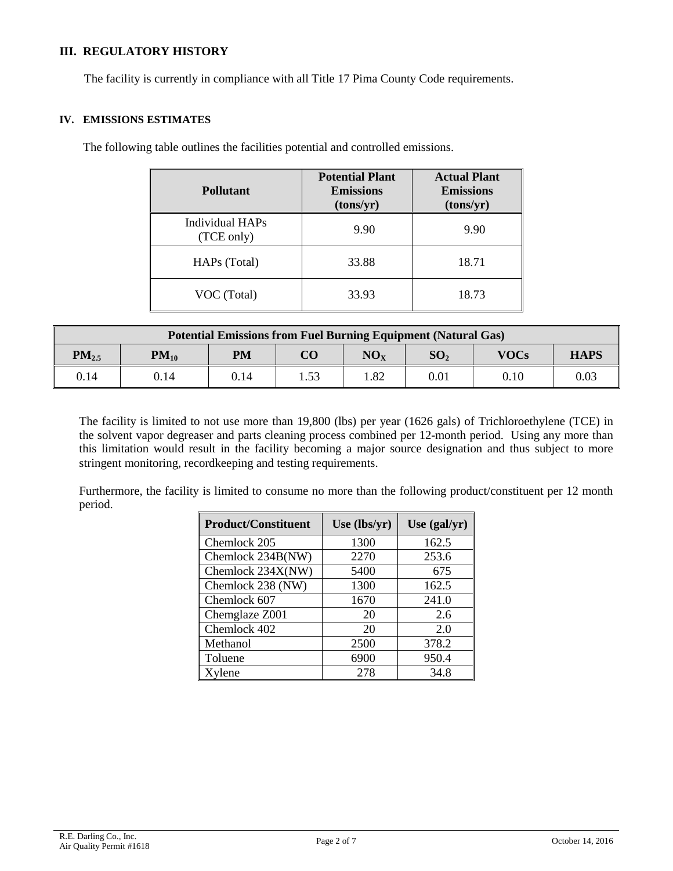# **III. REGULATORY HISTORY**

The facility is currently in compliance with all Title 17 Pima County Code requirements.

#### **IV. EMISSIONS ESTIMATES**

The following table outlines the facilities potential and controlled emissions.

| <b>Pollutant</b>              | <b>Potential Plant</b><br><b>Emissions</b><br>(tons/yr) | <b>Actual Plant</b><br><b>Emissions</b><br>(tons/yr) |
|-------------------------------|---------------------------------------------------------|------------------------------------------------------|
| Individual HAPs<br>(TCE only) | 9.90                                                    | 9.90                                                 |
| HAPs (Total)                  | 33.88                                                   | 18.71                                                |
| VOC (Total)                   | 33.93                                                   | 18.73                                                |

| <b>Potential Emissions from Fuel Burning Equipment (Natural Gas)</b> |           |           |          |          |                 |             |             |
|----------------------------------------------------------------------|-----------|-----------|----------|----------|-----------------|-------------|-------------|
| $PM_{2.5}$                                                           | $PM_{10}$ | <b>PM</b> | $\bf CO$ | $NO_{x}$ | SO <sub>2</sub> | <b>VOCs</b> | <b>HAPS</b> |
| 0.14                                                                 | 0.14      | 0.14      | . . 53   | 1.82     | 0.01            | 0.10        | 0.03        |

The facility is limited to not use more than 19,800 (lbs) per year (1626 gals) of Trichloroethylene (TCE) in the solvent vapor degreaser and parts cleaning process combined per 12-month period. Using any more than this limitation would result in the facility becoming a major source designation and thus subject to more stringent monitoring, recordkeeping and testing requirements.

Furthermore, the facility is limited to consume no more than the following product/constituent per 12 month period.

| <b>Product/Constituent</b> | Use (lbs/yr) | Use $(gal/yr)$ |
|----------------------------|--------------|----------------|
| Chemlock 205               | 1300         | 162.5          |
| Chemlock 234B(NW)          | 2270         | 253.6          |
| Chemlock 234X(NW)          | 5400         | 675            |
| Chemlock 238 (NW)          | 1300         | 162.5          |
| Chemlock 607               | 1670         | 241.0          |
| Chemglaze Z001             | 20           | 2.6            |
| Chemlock 402               | 20           | 2.0            |
| Methanol                   | 2500         | 378.2          |
| Toluene                    | 6900         | 950.4          |
| Xylene                     | 278          | 34.8           |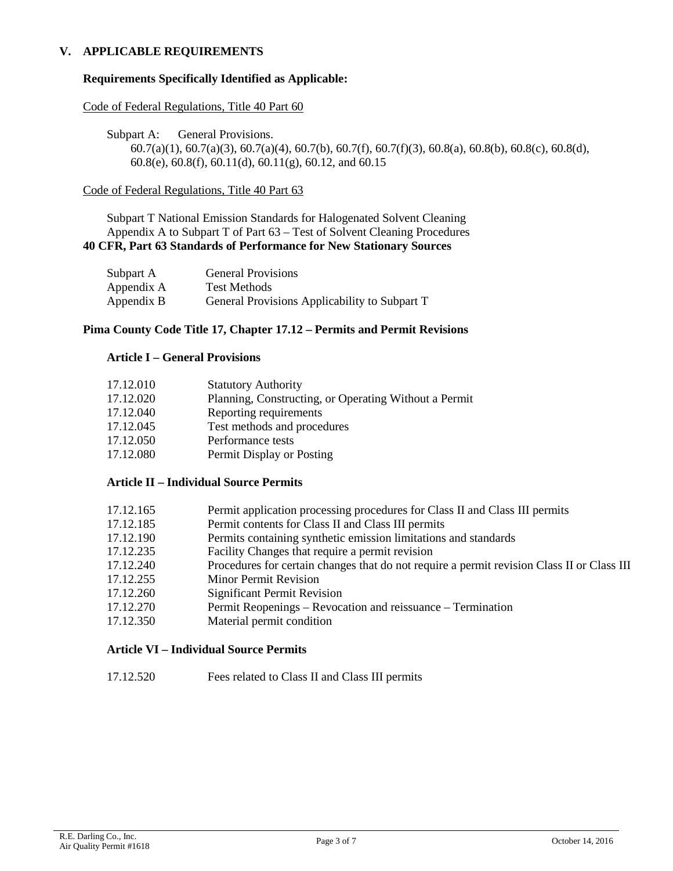## **V. APPLICABLE REQUIREMENTS**

### **Requirements Specifically Identified as Applicable:**

Code of Federal Regulations, Title 40 Part 60

Subpart A: General Provisions. 60.7(a)(1), 60.7(a)(3), 60.7(a)(4), 60.7(b), 60.7(f), 60.7(f)(3), 60.8(a), 60.8(b), 60.8(c), 60.8(d), 60.8(e), 60.8(f), 60.11(d), 60.11(g), 60.12, and 60.15

### Code of Federal Regulations, Title 40 Part 63

Subpart T National Emission Standards for Halogenated Solvent Cleaning Appendix A to Subpart T of Part 63 – Test of Solvent Cleaning Procedures **40 CFR, Part 63 Standards of Performance for New Stationary Sources**

| Subpart A  | <b>General Provisions</b>                     |
|------------|-----------------------------------------------|
| Appendix A | <b>Test Methods</b>                           |
| Appendix B | General Provisions Applicability to Subpart T |

### **Pima County Code Title 17, Chapter 17.12 – Permits and Permit Revisions**

### **Article I – General Provisions**

| 17.12.010 | <b>Statutory Authority</b>                            |
|-----------|-------------------------------------------------------|
| 17.12.020 | Planning, Constructing, or Operating Without a Permit |
| 17.12.040 | Reporting requirements                                |
| 17.12.045 | Test methods and procedures                           |
| 17.12.050 | Performance tests                                     |
| 17.12.080 | Permit Display or Posting                             |

### **Article II – Individual Source Permits**

| 17.12.165 | Permit application processing procedures for Class II and Class III permits |  |  |  |  |
|-----------|-----------------------------------------------------------------------------|--|--|--|--|
|-----------|-----------------------------------------------------------------------------|--|--|--|--|

- 17.12.185 Permit contents for Class II and Class III permits
- 17.12.190 Permits containing synthetic emission limitations and standards
- 17.12.235 Facility Changes that require a permit revision
- 17.12.240 Procedures for certain changes that do not require a permit revision Class II or Class III
- 17.12.255 Minor Permit Revision
- 17.12.260 Significant Permit Revision
- 17.12.270 Permit Reopenings Revocation and reissuance Termination
- 17.12.350 Material permit condition

### **Article VI – Individual Source Permits**

17.12.520 Fees related to Class II and Class III permits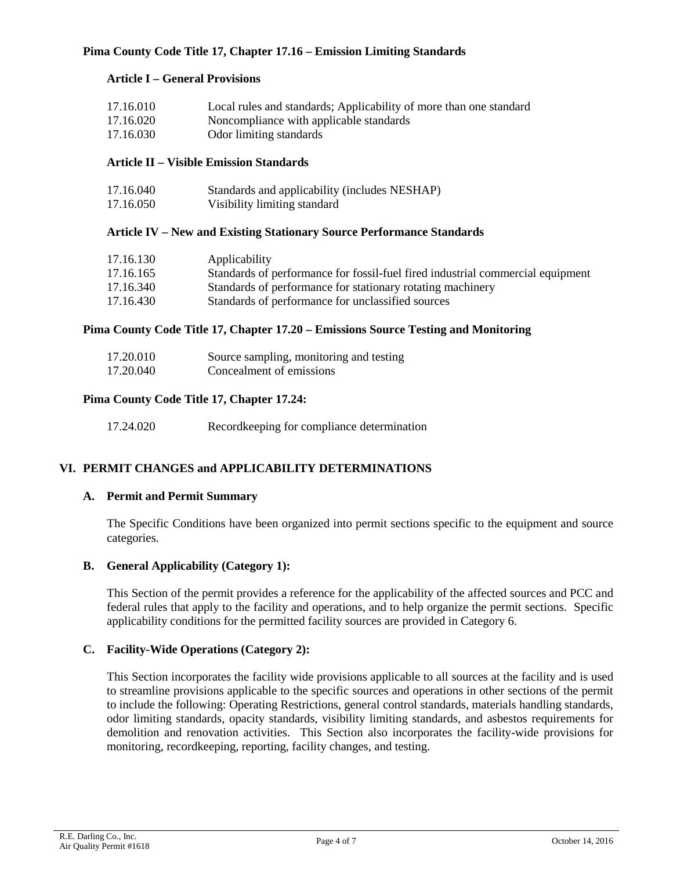# **Pima County Code Title 17, Chapter 17.16 – Emission Limiting Standards**

# **Article I – General Provisions**

| 17.16.010 | Local rules and standards; Applicability of more than one standard |
|-----------|--------------------------------------------------------------------|
| 17.16.020 | Noncompliance with applicable standards                            |
| 17.16.030 | Odor limiting standards                                            |

### **Article II – Visible Emission Standards**

| 17.16.040 | Standards and applicability (includes NESHAP) |
|-----------|-----------------------------------------------|
| 17.16.050 | Visibility limiting standard                  |

### **Article IV – New and Existing Stationary Source Performance Standards**

| 17.16.130 | Applicability                                                                  |
|-----------|--------------------------------------------------------------------------------|
| 17.16.165 | Standards of performance for fossil-fuel fired industrial commercial equipment |
| 17.16.340 | Standards of performance for stationary rotating machinery                     |
| 17.16.430 | Standards of performance for unclassified sources                              |

### **Pima County Code Title 17, Chapter 17.20 – Emissions Source Testing and Monitoring**

| 17.20.010 | Source sampling, monitoring and testing |
|-----------|-----------------------------------------|
| 17.20.040 | Concealment of emissions                |

## **Pima County Code Title 17, Chapter 17.24:**

| 17.24.020 | Record keeping for compliance determination |
|-----------|---------------------------------------------|
|-----------|---------------------------------------------|

# **VI. PERMIT CHANGES and APPLICABILITY DETERMINATIONS**

### **A. Permit and Permit Summary**

The Specific Conditions have been organized into permit sections specific to the equipment and source categories.

### **B. General Applicability (Category 1):**

This Section of the permit provides a reference for the applicability of the affected sources and PCC and federal rules that apply to the facility and operations, and to help organize the permit sections. Specific applicability conditions for the permitted facility sources are provided in Category 6.

### **C. Facility-Wide Operations (Category 2):**

This Section incorporates the facility wide provisions applicable to all sources at the facility and is used to streamline provisions applicable to the specific sources and operations in other sections of the permit to include the following: Operating Restrictions, general control standards, materials handling standards, odor limiting standards, opacity standards, visibility limiting standards, and asbestos requirements for demolition and renovation activities. This Section also incorporates the facility-wide provisions for monitoring, recordkeeping, reporting, facility changes, and testing.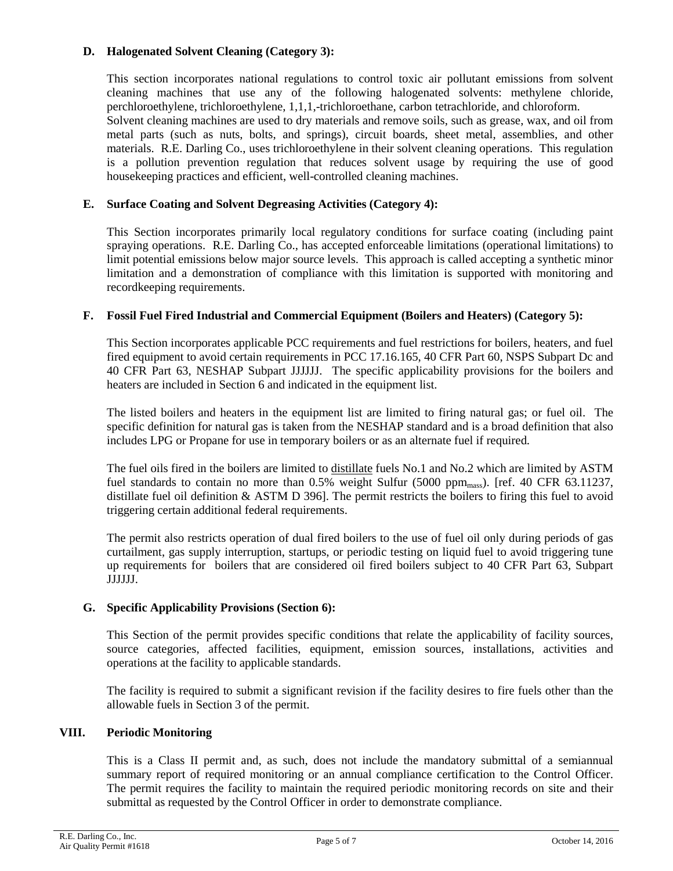# **D. Halogenated Solvent Cleaning (Category 3):**

This section incorporates national regulations to control toxic air pollutant emissions from solvent cleaning machines that use any of the following halogenated solvents: methylene chloride, perchloroethylene, trichloroethylene, 1,1,1,-trichloroethane, carbon tetrachloride, and chloroform.

Solvent cleaning machines are used to dry materials and remove soils, such as grease, wax, and oil from metal parts (such as nuts, bolts, and springs), circuit boards, sheet metal, assemblies, and other materials. R.E. Darling Co., uses trichloroethylene in their solvent cleaning operations. This regulation is a pollution prevention regulation that reduces solvent usage by requiring the use of good housekeeping practices and efficient, well-controlled cleaning machines.

## **E. Surface Coating and Solvent Degreasing Activities (Category 4):**

This Section incorporates primarily local regulatory conditions for surface coating (including paint spraying operations. R.E. Darling Co., has accepted enforceable limitations (operational limitations) to limit potential emissions below major source levels. This approach is called accepting a synthetic minor limitation and a demonstration of compliance with this limitation is supported with monitoring and recordkeeping requirements.

### **F. Fossil Fuel Fired Industrial and Commercial Equipment (Boilers and Heaters) (Category 5):**

This Section incorporates applicable PCC requirements and fuel restrictions for boilers, heaters, and fuel fired equipment to avoid certain requirements in PCC 17.16.165, 40 CFR Part 60, NSPS Subpart Dc and 40 CFR Part 63, NESHAP Subpart JJJJJJ. The specific applicability provisions for the boilers and heaters are included in Section 6 and indicated in the equipment list.

The listed boilers and heaters in the equipment list are limited to firing natural gas; or fuel oil. The specific definition for natural gas is taken from the NESHAP standard and is a broad definition that also includes LPG or Propane for use in temporary boilers or as an alternate fuel if required.

The fuel oils fired in the boilers are limited to distillate fuels No.1 and No.2 which are limited by ASTM fuel standards to contain no more than 0.5% weight Sulfur (5000 ppm<sub>mass</sub>). [ref. 40 CFR 63.11237, distillate fuel oil definition & ASTM D 396]. The permit restricts the boilers to firing this fuel to avoid triggering certain additional federal requirements.

The permit also restricts operation of dual fired boilers to the use of fuel oil only during periods of gas curtailment, gas supply interruption, startups, or periodic testing on liquid fuel to avoid triggering tune up requirements for boilers that are considered oil fired boilers subject to 40 CFR Part 63, Subpart JJJJJJ.

### **G. Specific Applicability Provisions (Section 6):**

This Section of the permit provides specific conditions that relate the applicability of facility sources, source categories, affected facilities, equipment, emission sources, installations, activities and operations at the facility to applicable standards.

The facility is required to submit a significant revision if the facility desires to fire fuels other than the allowable fuels in Section 3 of the permit.

## **VIII. Periodic Monitoring**

This is a Class II permit and, as such, does not include the mandatory submittal of a semiannual summary report of required monitoring or an annual compliance certification to the Control Officer. The permit requires the facility to maintain the required periodic monitoring records on site and their submittal as requested by the Control Officer in order to demonstrate compliance.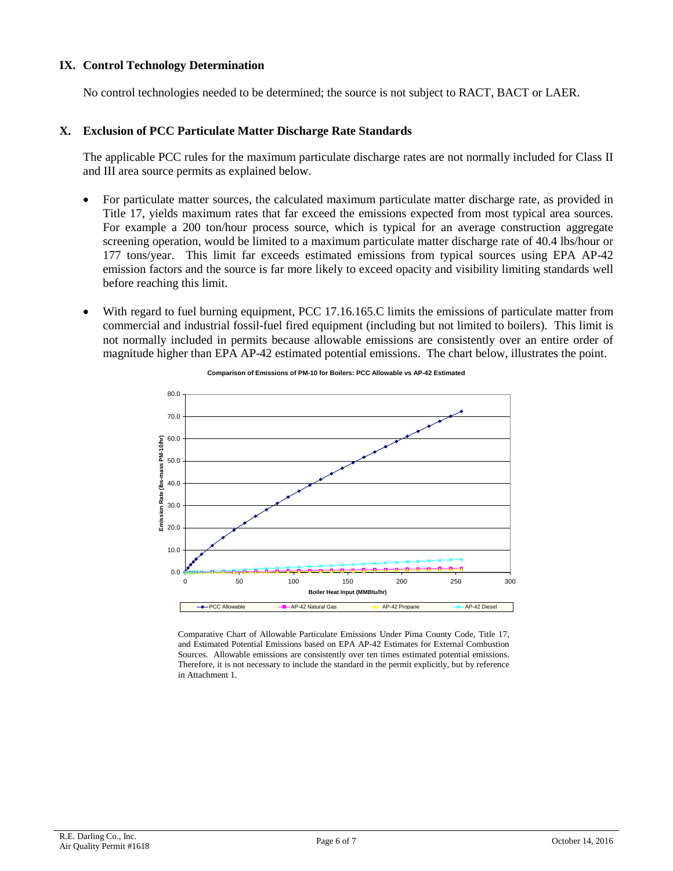### **IX. Control Technology Determination**

No control technologies needed to be determined; the source is not subject to RACT, BACT or LAER.

### **X. Exclusion of PCC Particulate Matter Discharge Rate Standards**

The applicable PCC rules for the maximum particulate discharge rates are not normally included for Class II and III area source permits as explained below.

- For particulate matter sources, the calculated maximum particulate matter discharge rate, as provided in Title 17, yields maximum rates that far exceed the emissions expected from most typical area sources. For example a 200 ton/hour process source, which is typical for an average construction aggregate screening operation, would be limited to a maximum particulate matter discharge rate of 40.4 lbs/hour or 177 tons/year. This limit far exceeds estimated emissions from typical sources using EPA AP-42 emission factors and the source is far more likely to exceed opacity and visibility limiting standards well before reaching this limit.
- With regard to fuel burning equipment, PCC 17.16.165.C limits the emissions of particulate matter from commercial and industrial fossil-fuel fired equipment (including but not limited to boilers). This limit is not normally included in permits because allowable emissions are consistently over an entire order of magnitude higher than EPA AP-42 estimated potential emissions. The chart below, illustrates the point.



**Comparison of Emissions of PM-10 for Boilers: PCC Allowable vs AP-42 Estimated**

Comparative Chart of Allowable Particulate Emissions Under Pima County Code, Title 17, and Estimated Potential Emissions based on EPA AP-42 Estimates for External Combustion Sources. Allowable emissions are consistently over ten times estimated potential emissions. Therefore, it is not necessary to include the standard in the permit explicitly, but by reference in Attachment 1.